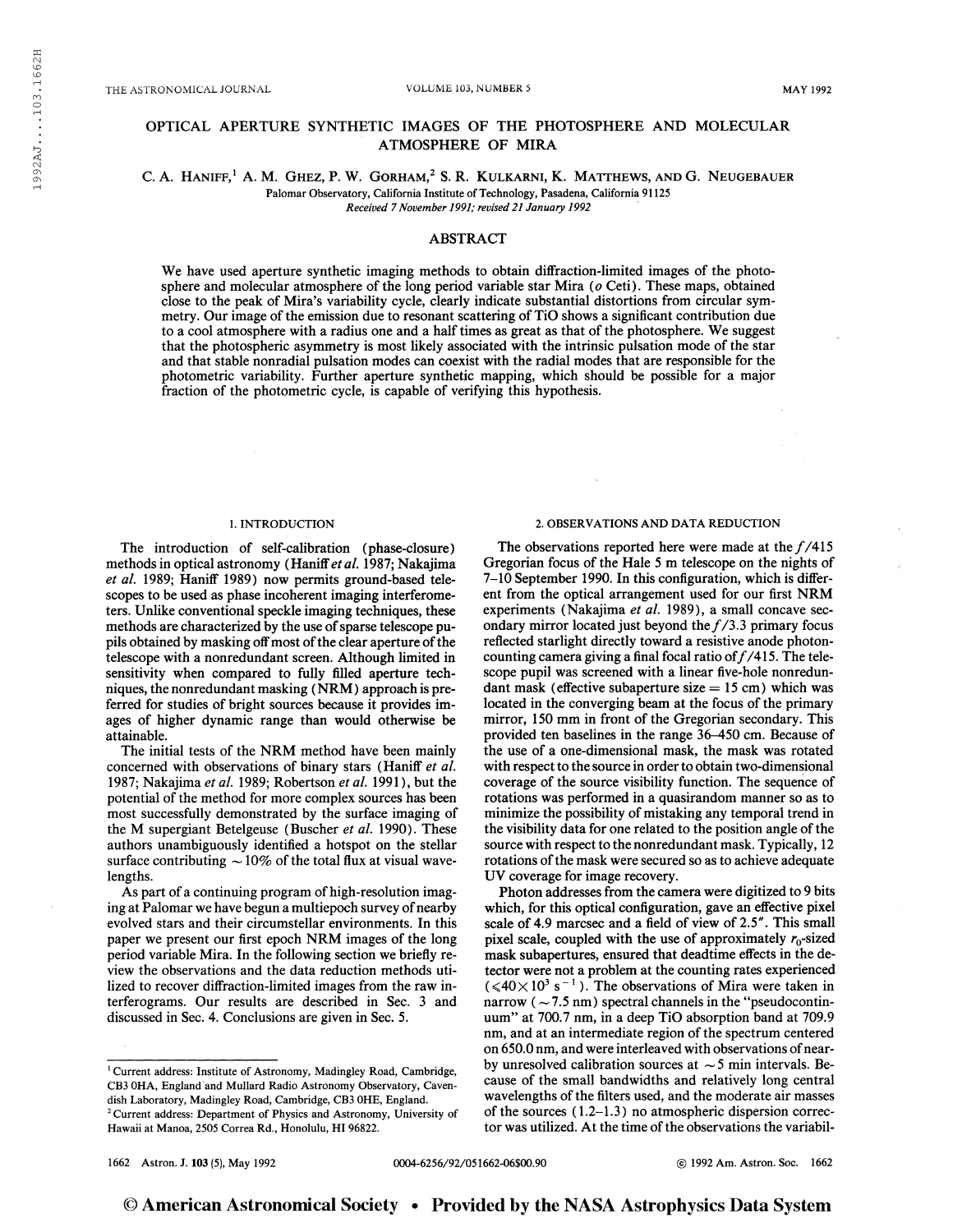# OPTICAL APERTURE SYNTHETIC IMAGES OF THE PHOTOSPHERE AND MOLECULAR ATMOSPHERE OF MIRA

C. A. Haniff,<sup>1</sup> A. M. Ghez, P. W. Gorham,<sup>2</sup> S. R. Kulkarni, K. Matthews, and G. Neugebauer

Palomar Observatory, California Institute of Technology, Pasadena, California 91125

Received 7November 1991; revised 21 January 1992

## ABSTRACT

We have used aperture synthetic imaging methods to obtain diffraction-limited images of the photosphere and molecular atmosphere of the long period variable star Mira ( $o$  Ceti). These maps, obtained close to the peak of Mira's variability cycle, clearly indicate substantial distortions from circular symmetry. Our image of the emission due to resonant scattering of TiO shows a significant contribution due to a cool atmosphere with a radius one and a half times as great as that of the photosphere. We suggest that the photospheric asymmetry is most likely associated with the intrinsic pulsation mode of the star and that stable nonradial pulsation modes can coexist with the radial modes that are responsible for the photometric variability. Further aperture synthetic mapping, which should be possible for a major fraction of the photometric cycle, is capable of verifying this hypothesis.

#### 1. INTRODUCTION

The introduction of self-calibration (phase-closure) methods in optical astronomy (Haniff et al. 1987; Nakajima et al. 1989; Haniff 1989) now permits ground-based telescopes to be used as phase incoherent imaging interferometers. Unlike conventional speckle imaging techniques, these methods are characterized by the use of sparse telescope pupils obtained by masking off most of the clear aperture of the telescope with a nonredundant screen. Although limited in sensitivity when compared to fully filled aperture techniques, the nonredundant masking (NRM) approach is preferred for studies of bright sources because it provides images of higher dynamic range than would otherwise be attainable.

The initial tests of the NRM method have been mainly concerned with observations of binary stars (Haniff et al. 1987; Nakajima et al. 1989; Robertson et al. 1991 ), but the potential of the method for more complex sources has been most successfully demonstrated by the surface imaging of the M supergiant Betelgeuse (Buscher et al. 1990). These authors unambiguously identified a hotspot on the stellar surface contributing  $\sim$  10% of the total flux at visual wavelengths.

As part of a continuing program of high-resolution imaging at Palomar we have begun a multiepoch survey of nearby evolved stars and their circumstellar environments. In this paper we present our first epoch NRM images of the long period variable Mira. In the following section we briefly review the observations and the data reduction methods utilized to recover diffraction-limited images from the raw interferograms. Our results are described in Sec. 3 and discussed in Sec. 4. Conclusions are given in Sec. 5.

### 2. OBSERVATIONS AND DATA REDUCTION

The observations reported here were made at the  $f/415$ Gregorian focus of the Hale 5 m telescope on the nights of 7-10 September 1990. In this configuration, which is different from the optical arrangement used for our first NRM experiments (Nakajima et al. 1989), a small concave secondary mirror located just beyond the  $f/3.3$  primary focus reflected starlight directly toward a resistive anode photoncounting camera giving a final focal ratio of  $f/415$ . The telescope pupil was screened with a linear five-hole nonredundant mask (effective subaperture size  $= 15$  cm) which was located in the converging beam at the focus of the primary mirror, 150 mm in front of the Gregorian secondary. This provided ten baselines in the range 36-450 cm. Because of the use of a one-dimensional mask, the mask was rotated with respect to the source in order to obtain two-dimensional coverage of the source visibility function. The sequence of rotations was performed in a quasirandom manner so as to minimize the possibility of mistaking any temporal trend in the visibility data for one related to the position angle of the source with respect to the nonredundant mask. Typically, 12 rotations of the mask were secured so as to achieve adequate UV coverage for image recovery.

Photon addresses from the camera were digitized to 9 bits which, for this optical configuration, gave an effective pixel scale of 4.9 marcsec and a field of view of 2.5". This small pixel scale, coupled with the use of approximately  $r_0$ -sized mask subapertures, ensured that deadtime effects in the detector were not a problem at the counting rates experienced  $( $40 \times 10^3$  s<sup>-1</sup>). The observations of Mira were taken in$ narrow ( $\sim$  7.5 nm) spectral channels in the "pseudocontinuum" at 700.7 nm, in a deep TiO absorption band at 709.9 nm, and at an intermediate region of the spectrum centered on 650.0 nm, and were interleaved with observations of nearby unresolved calibration sources at  $\sim$  5 min intervals. Because of the small bandwidths and relatively long central wavelengths of the filters used, and the moderate air masses of the sources (1.2-1.3) no atmospheric dispersion corrector was utilized. At the time of the observations the variabil-

1662 Astron. J. 103 (5), May 1992 0004-6256/92/051662-06S00.90 © 1992 Am. Astron. Soc. 1662

<sup>&</sup>lt;sup>1</sup> Current address: Institute of Astronomy, Madingley Road, Cambridge, CB3 OHA, England and Mullard Radio Astronomy Observatory, Cavendish Laboratory, Madingley Road, Cambridge, CB3 OHE, England. <sup>2</sup> Current address: Department of Physics and Astronomy, University of Hawaii at Manoa, 2505 Correa Rd., Honolulu, HI 96822.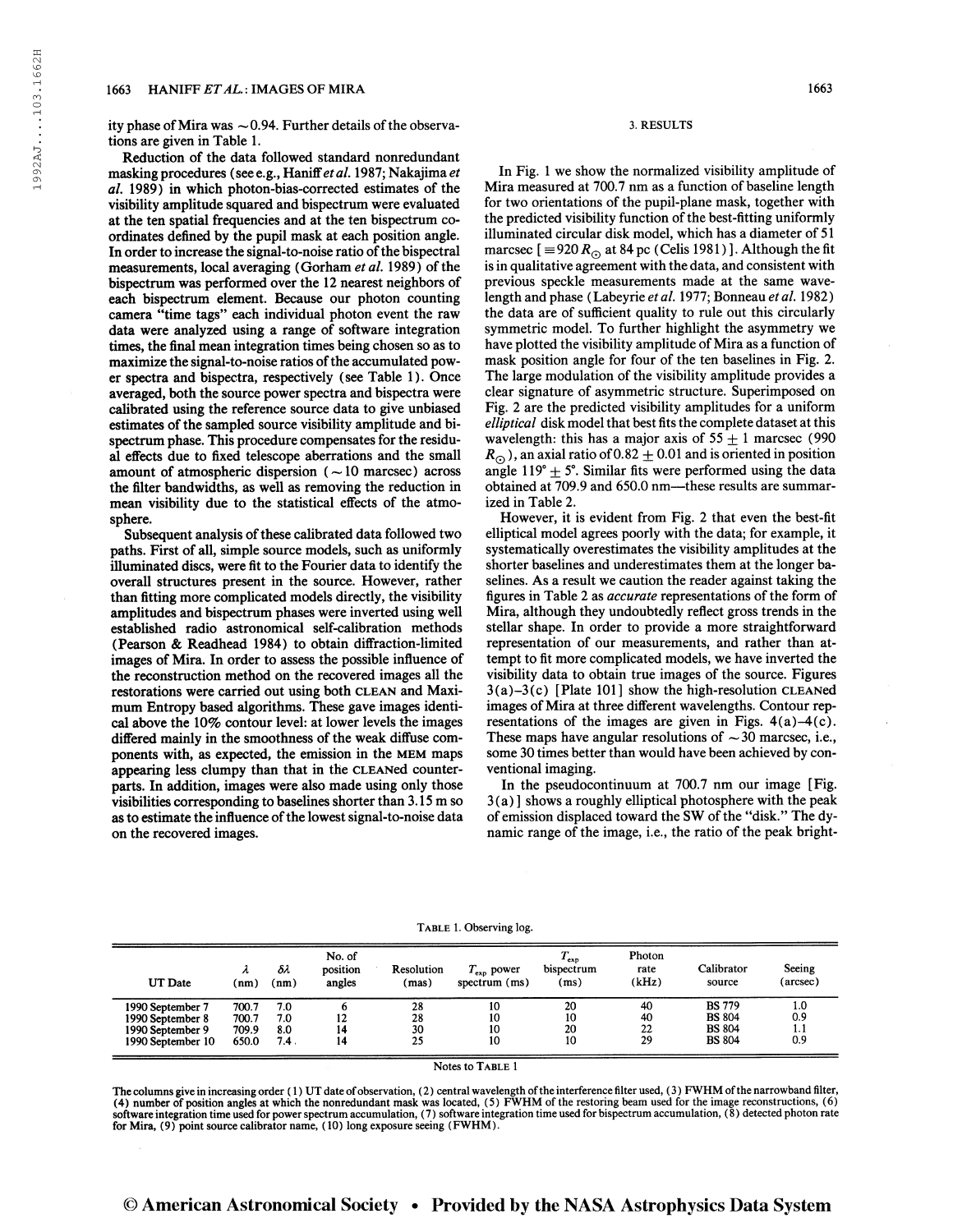ity phase of Mira was  $\sim$  0.94. Further details of the observations are given in Table 1.

Reduction of the data followed standard nonredundant masking procedures (see e.g., Haniff et al. 1987; Nakajima et al. 1989) in which photon-bias-corrected estimates of the visibility amplitude squared and bispectrum were evaluated at the ten spatial frequencies and at the ten bispectrum coordinates defined by the pupil mask at each position angle. In order to increase the signal-to-noise ratio of the bispectral measurements, local averaging (Gorham et al. 1989) of the bispectrum was performed over the 12 nearest neighbors of each bispectrum element. Because our photon counting camera "time tags" each individual photon event the raw data were analyzed using a range of software integration times, the final mean integration times being chosen so as to maximize the signal-to-noise ratios of the accumulated power spectra and bispectra, respectively (see Table 1). Once averaged, both the source power spectra and bispectra were calibrated using the reference source data to give unbiased estimates of the sampled source visibility amplitude and bispectrum phase. This procedure compensates for the residual effects due to fixed telescope aberrations and the small amount of atmospheric dispersion ( $\sim$ 10 marcsec) across the filter bandwidths, as well as removing the reduction in mean visibility due to the statistical effects of the atmosphere.

Subsequent analysis of these calibrated data followed two paths. First of all, simple source models, such as uniformly illuminated discs, were fit to the Fourier data to identify the overall structures present in the source. However, rather than fitting more complicated models directly, the visibility amplitudes and bispectrum phases were inverted using well established radio astronomical self-calibration methods (Pearson & Readhead 1984) to obtain diffraction-limited images of Mira. In order to assess the possible influence of the reconstruction method on the recovered images all the restorations were carried out using both clean and Maximum Entropy based algorithms. These gave images identical above the 10% contour level: at lower levels the images differed mainly in the smoothness of the weak diffuse components with, as expected, the emission in the mem maps appearing less clumpy than that in the CLEANed counterparts. In addition, images were also made using only those visibilities corresponding to baselines shorter than 3.15 m so as to estimate the influence of the lowest signal-to-noise data on the recovered images.

## 3. RESULTS

In Fig. <sup>1</sup> we show the normalized visibility amplitude of Mira measured at 700.7 nm as a function of baseline length for two orientations of the pupil-plane mask, together with the predicted visibility function of the best-fitting uniformly illuminated circular disk model, which has a diameter of 51 marcsec  $[$  = 920  $R_{\odot}$  at 84 pc (Celis 1981)]. Although the fit is in qualitative agreement with the data, and consistent with previous speckle measurements made at the same wavelength and phase (Labeyrie et al. 1977; Bonneau et al. 1982) the data are of sufficient quality to rule out this circularly symmetric model. To further highlight the asymmetry we have plotted the visibility amplitude of Mira as a function of mask position angle for four of the ten baselines in Fig. 2. The large modulation of the visibility amplitude provides a clear signature of asymmetric structure. Superimposed on Fig. 2 are the predicted visibility amplitudes for a uniform elliptical disk model that best fits the complete dataset at this wavelength: this has a major axis of  $55 \pm 1$  marcsec (990)  $R_{\odot}$ ), an axial ratio of 0.82  $\pm$  0.01 and is oriented in position angle 119°  $\pm$  5°. Similar fits were performed using the data obtained at 709.9 and 650.0 nm—these results are summarized in Table 2.

However, it is evident from Fig. 2 that even the best-fit elliptical model agrees poorly with the data; for example, it systematically overestimates the visibility amplitudes at the shorter baselines and underestimates them at the longer baselines. As a result we caution the reader against taking the figures in Table 2 as *accurate* representations of the form of Mira, although they undoubtedly reflect gross trends in the stellar shape. In order to provide a more straightforward representation of our measurements, and rather than attempt to fit more complicated models, we have inverted the visibility data to obtain true images of the source. Figures  $3(a)-3(c)$  [Plate 101] show the high-resolution CLEANed images of Mira at three different wavelengths. Contour representations of the images are given in Figs.  $4(a) - 4(c)$ . These maps have angular resolutions of  $\sim$  30 marcsec, i.e., some 30 times better than would have been achieved by conventional imaging.

In the pseudocontinuum at 700.7 nm our image [Fig. 3(a) ] shows a roughly elliptical photosphere with the peak of emission displaced toward the SW of the "disk." The dynamic range of the image, i.e., the ratio of the peak bright-

| UT Date                                                                       | n<br>(nm)                        | $\delta\lambda$<br>(nm)   | No. of<br>position<br>angles | Resolution<br>(mas)  | $T_{\rm exp}$ power<br>spectrum (ms) | $-$ exp<br>bispectrum<br>(ms) | Photon<br>rate<br>(kHz) | Calibrator<br>source                                             | Seeing<br>(arcsec)       |
|-------------------------------------------------------------------------------|----------------------------------|---------------------------|------------------------------|----------------------|--------------------------------------|-------------------------------|-------------------------|------------------------------------------------------------------|--------------------------|
| 1990 September 7<br>1990 September 8<br>1990 September 9<br>1990 September 10 | 700.7<br>700.7<br>709.9<br>650.0 | 7.0<br>7.0<br>8.0<br>7.4. | 12<br>14<br>14               | 28<br>28<br>30<br>25 | 10<br>10<br>10<br>10                 | 20<br>10<br>20<br>10          | 40<br>40<br>22<br>29    | <b>BS 779</b><br><b>BS 804</b><br><b>BS 804</b><br><b>BS 804</b> | 1.0<br>0.9<br>1.1<br>0.9 |

TABLE 1. Observing log.

The columns give in increasing order (1) UT date of observation, (2) central wavelength of the interference filter used, (3) FWHM of the narrowband filter,<br>(4) number of position angles at which the nonredundant mask was l for Mira, (9) point source calibrator name, (10) long exposure seeing (FWHM).

Notes to TABLE 1

1992AJ 103.1662H

1992AJ...103.1662H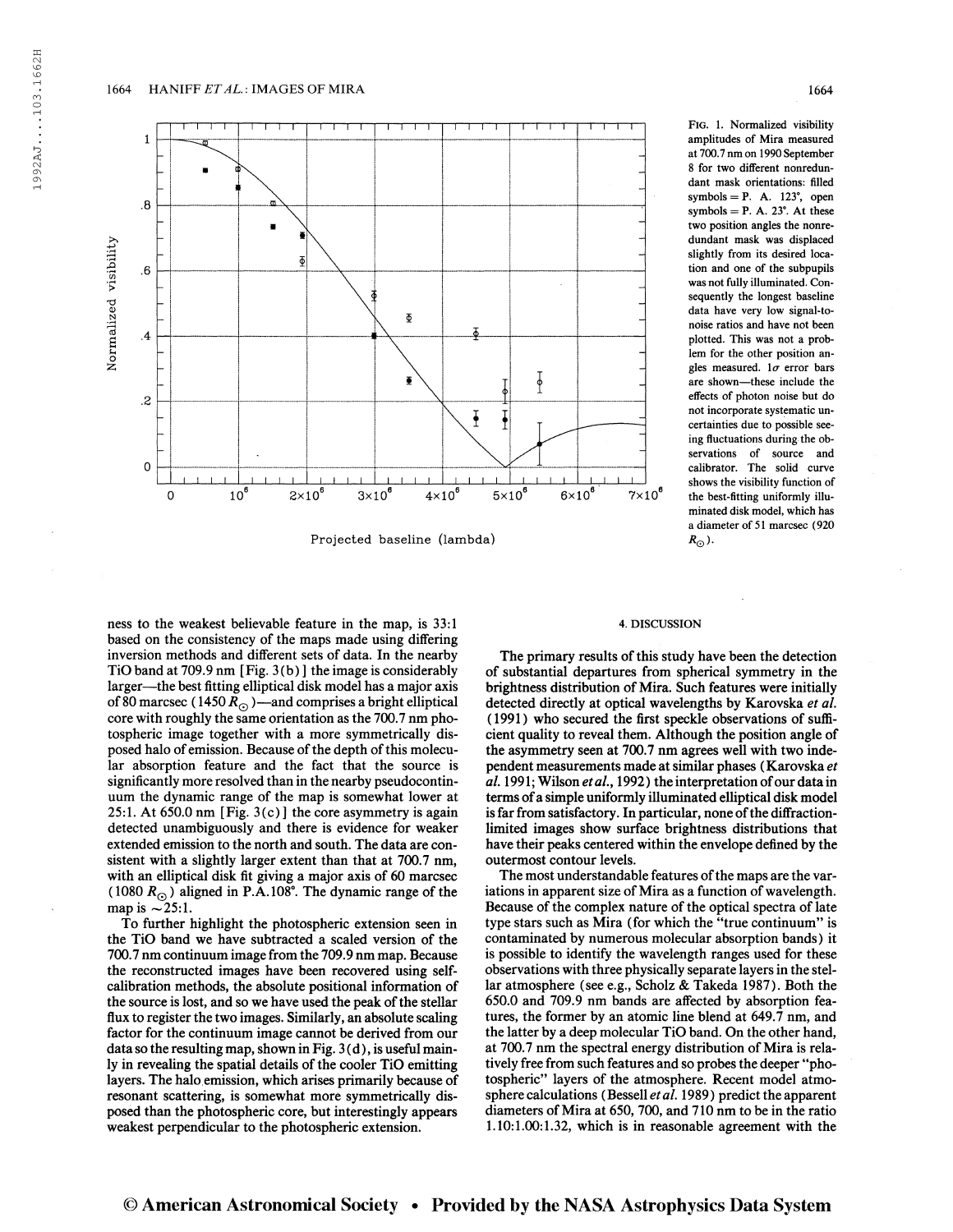#### 1664 HANIFF ET AL.: IMAGES OF MIRA 1664



Projected baseline (lambda)

Fig. 1. Normalized visibility amplitudes of Mira measured at 700.7 nm on 1990 September 8 for two different nonredundant mask orientations: filled symbols =  $P$ . A. 123°, open symbols  $=$  P. A. 23 $^{\circ}$ . At these two position angles the nonredundant mask was displaced slightly from its desired location and one of the subpupils was not fully illuminated. Consequently the longest baseline data have very low signal-tonoise ratios and have not been plotted. This was not a problem for the other position angles measured.  $1\sigma$  error bars are shown—these include the effects of photon noise but do not incorporate systematic uncertainties due to possible seeing fluctuations during the observations of source and calibrator. The solid curve shows the visibility function of the best-fitting uniformly illuminated disk model, which has a diameter of 51 marcsec (920  $R_{\odot}$ ).

#### 4. DISCUSSION

The primary results of this study have been the detection of substantial departures from spherical symmetry in the brightness distribution of Mira. Such features were initially detected directly at optical wavelengths by Karovska et al. (1991) who secured the first speckle observations of sufficient quality to reveal them. Although the position angle of the asymmetry seen at 700.7 nm agrees well with two independent measurements made at similar phases ( Karovska et al. 1991; Wilson et al., 1992) the interpretation of our data in terms of a simple uniformly illuminated elliptical disk model is far from satisfactory. In particular, none of the diffractionlimited images show surface brightness distributions that have their peaks centered within the envelope defined by the outermost contour levels.

The most understandable features of the maps are the variations in apparent size of Mira as a function of wavelength. Because of the complex nature of the optical spectra of late type stars such as Mira (for which the "true continuum" is contaminated by numerous molecular absorption bands) it is possible to identify the wavelength ranges used for these observations with three physically separate layers in the stellar atmosphere (see e.g., Scholz & Takeda 1987). Both the 650.0 and 709.9 nm bands are affected by absorption features, the former by an atomic line blend at 649.7 nm, and the latter by a deep molecular TiO band. On the other hand, at 700.7 nm the spectral energy distribution of Mira is relatively free from such features and so probes the deeper "photospheric" layers of the atmosphere. Recent model atmosphere calculations (Bessell et al. 1989) predict the apparent diameters of Mira at 650, 700, and 710 nm to be in the ratio 1.10:1.00:1.32, which is in reasonable agreement with the

ness to the weakest believable feature in the map, is 33:1 based on the consistency of the maps made using differing inversion methods and different sets of data. In the nearby TiO band at 709.9 nm [Fig. 3(b)] the image is considerably larger—the best fitting elliptical disk model has a major axis of 80 marcsec ( $1450 R_{\odot}$ )—and comprises a bright elliptical core with roughly the same orientation as the 700.7 nm photospheric image together with a more symmetrically disposed halo of emission. Because of the depth of this molecular absorption feature and the fact that the source is significantly more resolved than in the nearby pseudocontinuum the dynamic range of the map is somewhat lower at 25:1. At 650.0 nm [Fig. 3(c) ] the core asymmetry is again detected unambiguously and there is evidence for weaker extended emission to the north and south. The data are consistent with a slightly larger extent than that at 700.7 nm, with an elliptical disk fit giving a major axis of 60 marcsec (1080  $R_{\odot}$ ) aligned in P.A.108°. The dynamic range of the map is  $\sim$  25:1.

To further highlight the photospheric extension seen in the TiO band we have subtracted a scaled version of the 700.7 nm continuum image from the 709.9 nm map. Because the reconstructed images have been recovered using selfcalibration methods, the absolute positional information of the source is lost, and so we have used the peak of the stellar flux to register the two images. Similarly, an absolute scaling factor for the continuum image cannot be derived from our data so the resulting map, shown in Fig.  $3(d)$ , is useful mainly in revealing the spatial details of the cooler TiO emitting layers. The halo emission, which arises primarily because of resonant scattering, is somewhat more symmetrically disposed than the photospheric core, but interestingly appears weakest perpendicular to the photospheric extension.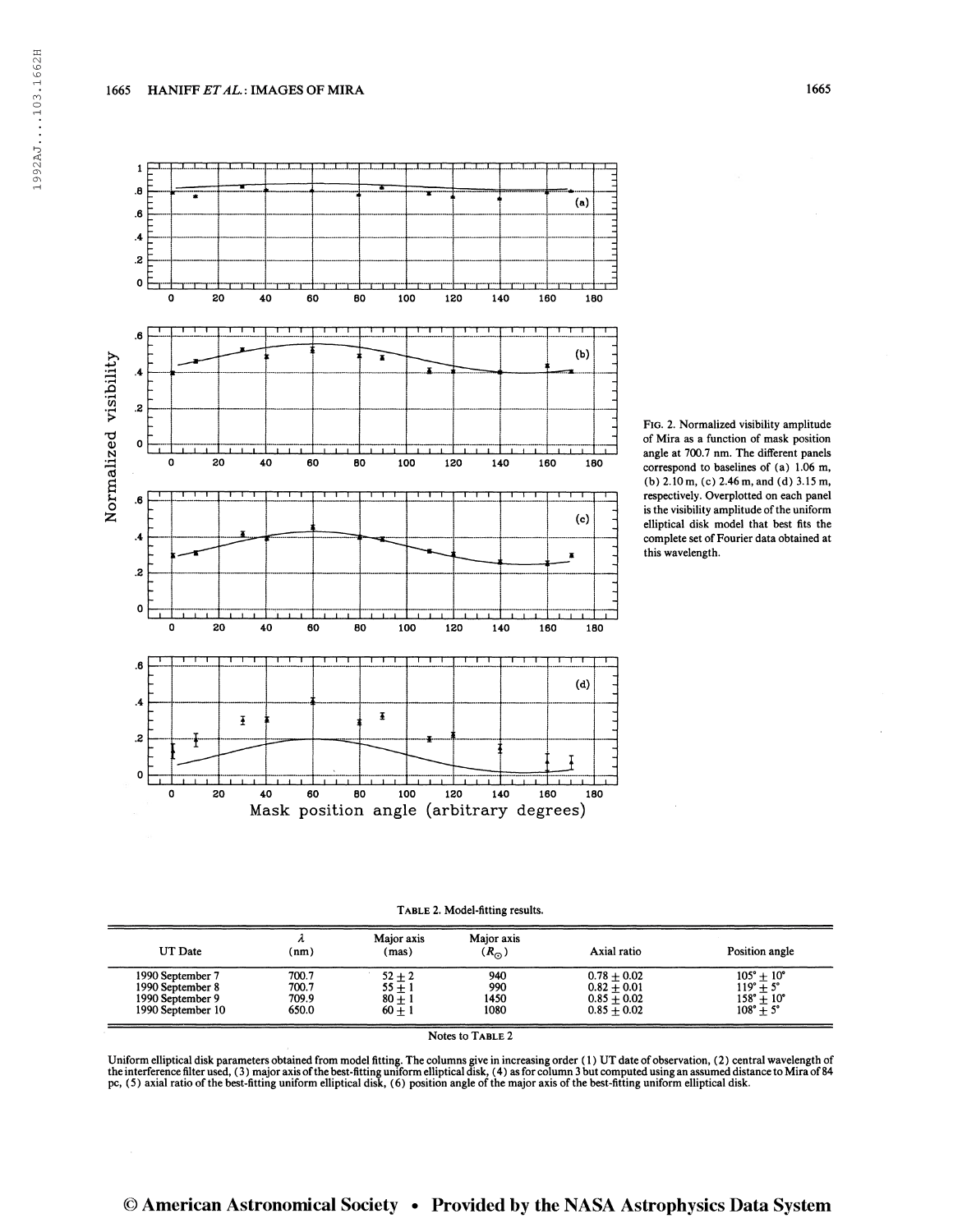## 1665 HANIFF ETAL. : IMAGES OF MIRA 1665



Fig. 2. Normalized visibility amplitude of Mira as a function of mask position angle at 700.7 nm. The different panels correspond to baselines of (a) 1.06 m, (b) 2.10 m, (c) 2.46 m, and (d) 3.15 m, respectively. Overplotted on each panel is the visibility amplitude of the uniform elliptical disk model that best fits the complete set of Fourier data obtained at this wavelength.

Table 2. Model-fitting results.

Mask position angle (arbitrary degrees)

| UT Date           | (nm)  | Major axis<br>(mas)      | Major axis<br>$(R_{\odot})$ | Axial ratio   | Position angle                                              |
|-------------------|-------|--------------------------|-----------------------------|---------------|-------------------------------------------------------------|
| 1990 September 7  | 700.7 | $52 \pm 2$<br>$55 \pm 1$ | 940                         | $0.78 + 0.02$ | $105^{\circ} + 10^{\circ}$                                  |
| 1990 September 8  | 700.7 |                          | 990                         | $0.82 + 0.01$ | $119^{\circ} \pm 5^{\circ}$                                 |
| 1990 September 9  | 709.9 | $80 \pm 1$               | 1450                        | $0.85 + 0.02$ |                                                             |
| 1990 September 10 | 650.0 | $60 + 1$                 | 1080                        | $0.85 + 0.02$ | $158^{\circ} \pm 10^{\circ}$<br>$108^{\circ} \pm 5^{\circ}$ |

Notes to TABLE 2

Uniform elliptical disk parameters obtained from model fitting. The columns give in increasing order (1) UT date of observation, (2) central wavelength of<br>the interference filter used, (3) major axis of the best-fitting un

# © American Astronomical Society • Provided by the NASA Astrophysics Data System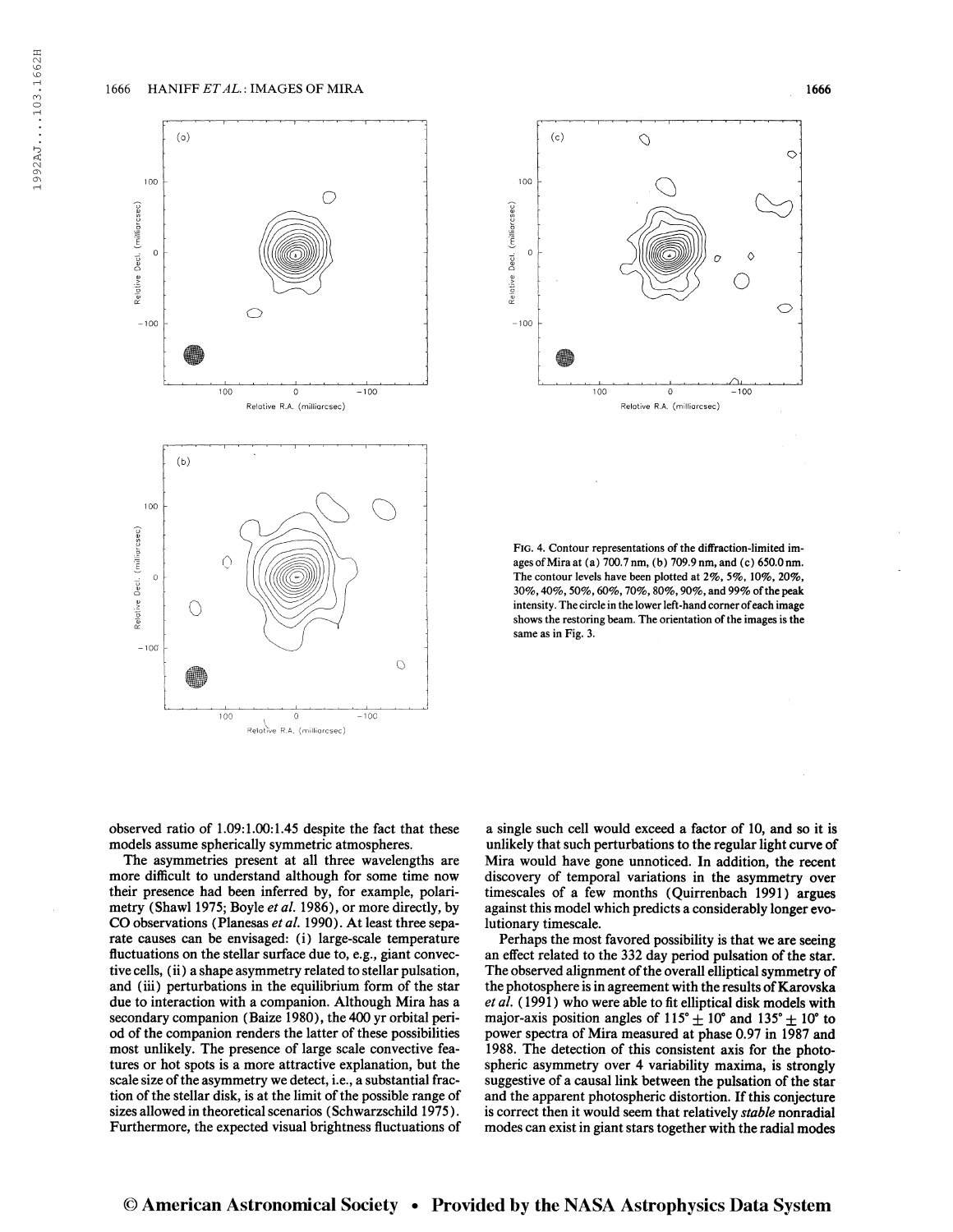



FIG. 4. Contour representations of the diffraction-limited images ofMira at (a) 700.7 nm, (b) 709.9 nm, and (c) 650.0 nm. The contour levels have been plotted at 2%, 5%, 10%, 20%, 30%, 40%, 50%, 60%, 70%, 80%, 90%, and 99% ofthe peak intensity. The circle in the lower left-hand corner of each image shows the restoring beam. The orientation of the images is the same as in Fig. 3.

observed ratio of 1.09:1.00:1.45 despite the fact that these models assume spherically symmetric atmospheres.

The asymmetries present at all three wavelengths are more difficult to understand although for some time now their presence had been inferred by, for example, polarimetry (Shawl 1975; Boyle et al. 1986), or more directly, by CO observations (Planesas et al. 1990). At least three separate causes can be envisaged: (i) large-scale temperature fluctuations on the stellar surface due to, e.g., giant convective cells, (ii) a shape asymmetry related to stellar pulsation, and (iii) perturbations in the equilibrium form of the star due to interaction with a companion. Although Mira has a secondary companion (Baize 1980), the 400 yr orbital period of the companion renders the latter of these possibilities most unlikely. The presence of large scale convective features or hot spots is a more attractive explanation, but the scale size of the asymmetry we detect, i.e., a substantial fraction of the stellar disk, is at the limit of the possible range of sizes allowed in theoretical scenarios (Schwarzschild 1975). Furthermore, the expected visual brightness fluctuations of

a single such cell would exceed a factor of 10, and so it is unlikely that such perturbations to the regular light curve of Mira would have gone unnoticed. In addition, the recent discovery of temporal variations in the asymmetry over timescales of a few months (Quirrenbach 1991) argues against this model which predicts a considerably longer evolutionary timescale.

Perhaps the most favored possibility is that we are seeing an effect related to the 332 day period pulsation of the star. The observed alignment of the overall elliptical symmetry of the photosphere is in agreement with the results of Karovska et al. (1991) who were able to fit elliptical disk models with major-axis position angles of  $115^\circ \pm 10^\circ$  and  $135^\circ \pm 10^\circ$  to power spectra of Mira measured at phase 0.97 in 1987 and 1988. The detection of this consistent axis for the photospheric asymmetry over 4 variability maxima, is strongly suggestive of a causal link between the pulsation of the star and the apparent photospheric distortion. If this conjecture is correct then it would seem that relatively *stable* nonradial modes can existin giant stars together with the radial modes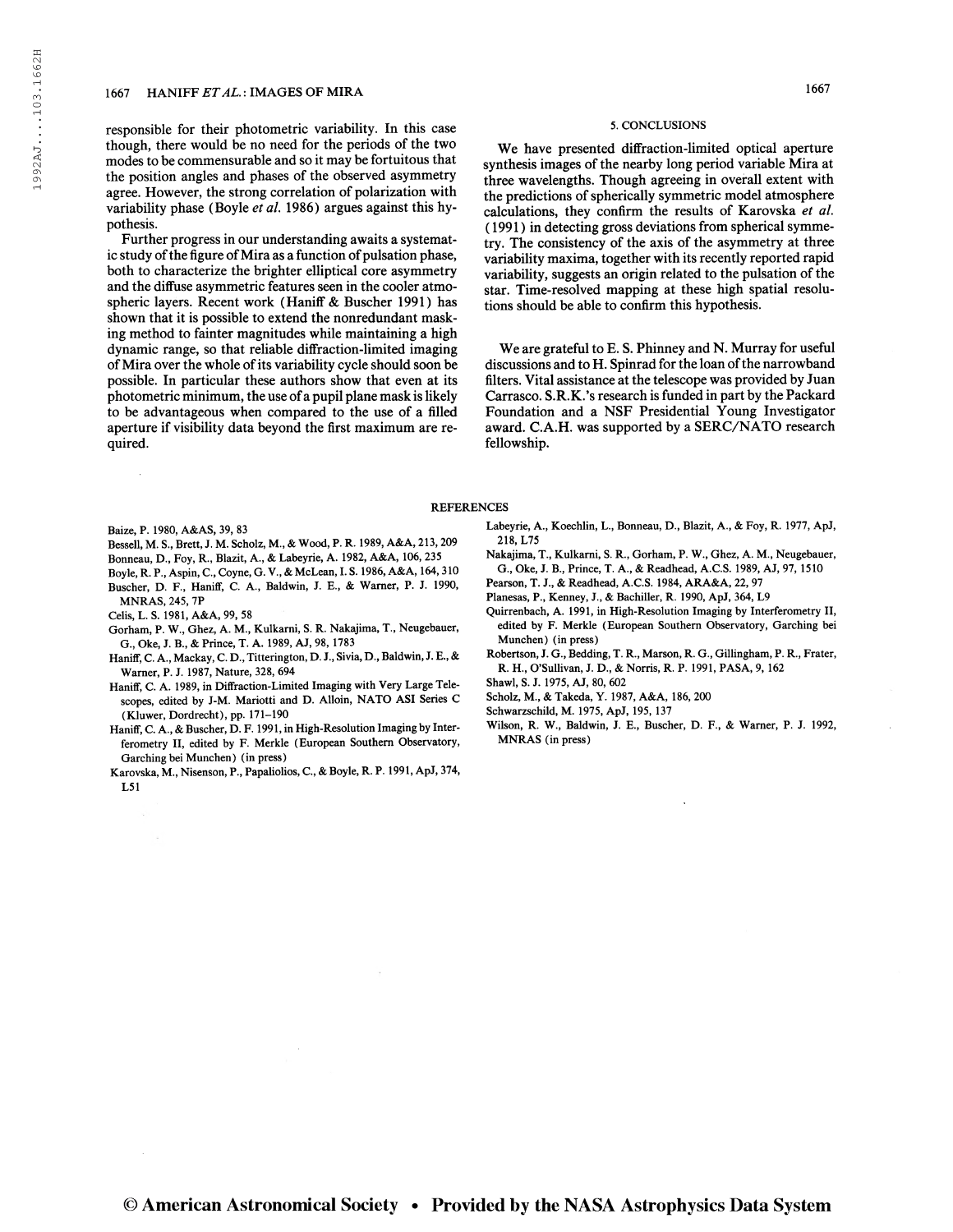responsible for their photometric variability. In this case though, there would be no need for the periods of the two modes to be commensurable and so it may be fortuitous that the position angles and phases of the observed asymmetry agree. However, the strong correlation of polarization with variability phase (Boyle et al. 1986) argues against this hypothesis.

Further progress in our understanding awaits a systematic study of the figure of Mira as a function of pulsation phase, both to characterize the brighter elliptical core asymmetry and the diffuse asymmetric features seen in the cooler atmospheric layers. Recent work (Haniff & Buscher 1991) has shown that it is possible to extend the nonredundant masking method to fainter magnitudes while maintaining a high dynamic range, so that reliable diffraction-limited imaging of Mira over the whole of its variability cycle should soon be possible. In particular these authors show that even at its photometric minimum, the use ofa pupil plane mask is likely to be advantageous when compared to the use of a filled aperture if visibility data beyond the first maximum are required.

#### 5. CONCLUSIONS

We have presented diffraction-limited optical aperture synthesis images of the nearby long period variable Mira at three wavelengths. Though agreeing in overall extent with the predictions of spherically symmetric model atmosphere calculations, they confirm the results of Karovska et al. ( 1991 ) in detecting gross deviations from spherical symmetry. The consistency of the axis of the asymmetry at three variability maxima, together with its recently reported rapid variability, suggests an origin related to the pulsation of the star. Time-resolved mapping at these high spatial resolutions should be able to confirm this hypothesis.

We are grateful to E. S. Phinney and N. Murray for useful discussions and to H. Spinrad for the loan of the narrowband filters. Vital assistance at the telescope was provided by Juan Carrasco. S.R.K.'s research is funded in part by the Packard Foundation and a NSF Presidential Young Investigator award. C.A.H. was supported by a SERC/NATO research fellowship.

#### REFERENCES

Baize, P. 1980, A&AS, 39, 83

- Bessell, M. S., Brett, J. M. Scholz, M., & Wood, P. R. 1989, A&A, 213,209
- Bonneau, D., Foy, R., Blazit, A., & Labeyrie, A. 1982, A&A, 106, 235
- Boyle, R. P., Aspin, C., Coyne, G. V., & McLean, I. S. 1986, A&A, 164,310
- Buscher, D. F., Haniff, C. A., Baldwin, J. E., & Warner, P. J. 1990, MNRAS, 245, 7P

Celis, L. S. 1981, A&A, 99, 58

- Gorham, P. W., Ghez, A. M., Kulkami, S. R. Nakajima, T., Neugebauer, G., Oke, J. B., & Prince, T. A. 1989, AJ, 98, 1783
- Haniff, C. A., Mackay, C. D., Titterington, D. J., Sivia, D., Baldwin,J. E., & Warner, P. J. 1987, Nature, 328, 694
- Haniff, C. A. 1989, in Diffraction-Limited Imaging with Very Large Telescopes, edited by J-M. Mariotti and D. Alloin, NATO ASI Series C (Kluwer, Dordrecht), pp. 171-190
- Haniff, C. A., & Buscher, D. F. 1991, in High-Resolution Imaging by Interferometry II, edited by F. Merkle (European Southern Observatory, Garching bei München) (in press)
- Karovska, M., Nisenson, P., Papaliolios, C, & Boyle, R. P. 1991, ApJ, 374, L51
- Labeyrie, A., Koechlin, L., Bonneau, D., Blazit, A., & Foy, R. 1977, ApJ, 218, L75
- Nakajima, T., Kulkami, S. R., Gorham, P. W., Ghez, A. M., Neugebauer, G., Oke, J. B, Prince, T. A., & Readhead, A.C.S. 1989, AJ, 97, 1510
- Pearson, T. J., & Readhead, A.C.S. 1984, ARA&A, 22, 97
- Planesas, P., Kenney, J., & Bachiller, R. 1990, ApJ, 364, L9
- Quirrenbach, A. 1991, in High-Resolution Imaging by Interferometry II, edited by F. Merkle (European Southern Observatory, Garching bei München) (in press)
- Robertson, J. G., Bedding, T. R., Marson, R. G., Gillingham, P. R., Frater, R. H., O'Sullivan, J. D., & Norris, R. P. 1991, PASA, 9, 162
- Shawl, S. J. 1975, AJ, 80, 602

Scholz, M., & Takeda, Y. 1987, A&A, 186, 200

- Schwarzschild, M. 1975, ApJ, 195, 137
- Wilson, R. W., Baldwin, J. E., Buscher, D. F., & Warner, P. J. 1992, MNRAS (in press)